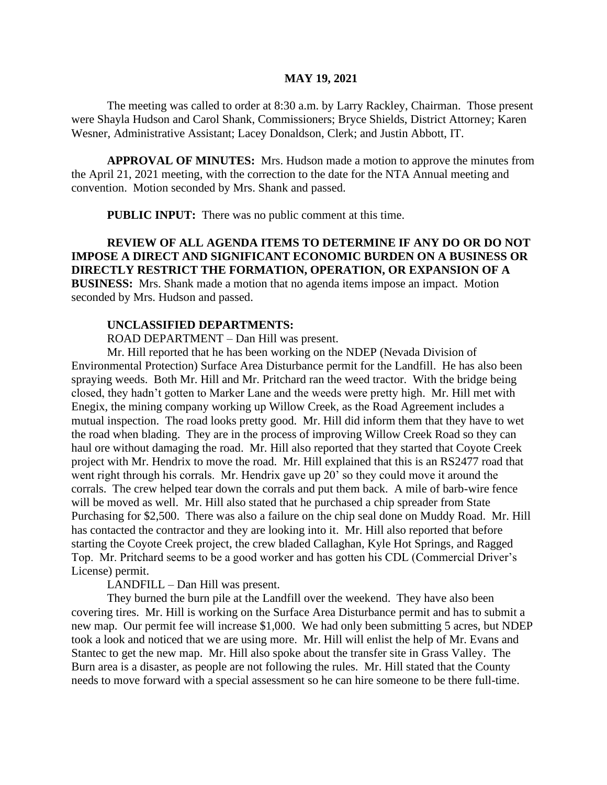#### **MAY 19, 2021**

The meeting was called to order at 8:30 a.m. by Larry Rackley, Chairman. Those present were Shayla Hudson and Carol Shank, Commissioners; Bryce Shields, District Attorney; Karen Wesner, Administrative Assistant; Lacey Donaldson, Clerk; and Justin Abbott, IT.

**APPROVAL OF MINUTES:** Mrs. Hudson made a motion to approve the minutes from the April 21, 2021 meeting, with the correction to the date for the NTA Annual meeting and convention. Motion seconded by Mrs. Shank and passed.

 **PUBLIC INPUT:** There was no public comment at this time.

**REVIEW OF ALL AGENDA ITEMS TO DETERMINE IF ANY DO OR DO NOT IMPOSE A DIRECT AND SIGNIFICANT ECONOMIC BURDEN ON A BUSINESS OR DIRECTLY RESTRICT THE FORMATION, OPERATION, OR EXPANSION OF A BUSINESS:** Mrs. Shank made a motion that no agenda items impose an impact. Motion seconded by Mrs. Hudson and passed.

#### **UNCLASSIFIED DEPARTMENTS:**

ROAD DEPARTMENT – Dan Hill was present.

Mr. Hill reported that he has been working on the NDEP (Nevada Division of Environmental Protection) Surface Area Disturbance permit for the Landfill. He has also been spraying weeds. Both Mr. Hill and Mr. Pritchard ran the weed tractor. With the bridge being closed, they hadn't gotten to Marker Lane and the weeds were pretty high. Mr. Hill met with Enegix, the mining company working up Willow Creek, as the Road Agreement includes a mutual inspection. The road looks pretty good. Mr. Hill did inform them that they have to wet the road when blading. They are in the process of improving Willow Creek Road so they can haul ore without damaging the road. Mr. Hill also reported that they started that Coyote Creek project with Mr. Hendrix to move the road. Mr. Hill explained that this is an RS2477 road that went right through his corrals. Mr. Hendrix gave up 20' so they could move it around the corrals. The crew helped tear down the corrals and put them back. A mile of barb-wire fence will be moved as well. Mr. Hill also stated that he purchased a chip spreader from State Purchasing for \$2,500. There was also a failure on the chip seal done on Muddy Road. Mr. Hill has contacted the contractor and they are looking into it. Mr. Hill also reported that before starting the Coyote Creek project, the crew bladed Callaghan, Kyle Hot Springs, and Ragged Top. Mr. Pritchard seems to be a good worker and has gotten his CDL (Commercial Driver's License) permit.

LANDFILL – Dan Hill was present.

They burned the burn pile at the Landfill over the weekend. They have also been covering tires. Mr. Hill is working on the Surface Area Disturbance permit and has to submit a new map. Our permit fee will increase \$1,000. We had only been submitting 5 acres, but NDEP took a look and noticed that we are using more. Mr. Hill will enlist the help of Mr. Evans and Stantec to get the new map. Mr. Hill also spoke about the transfer site in Grass Valley. The Burn area is a disaster, as people are not following the rules. Mr. Hill stated that the County needs to move forward with a special assessment so he can hire someone to be there full-time.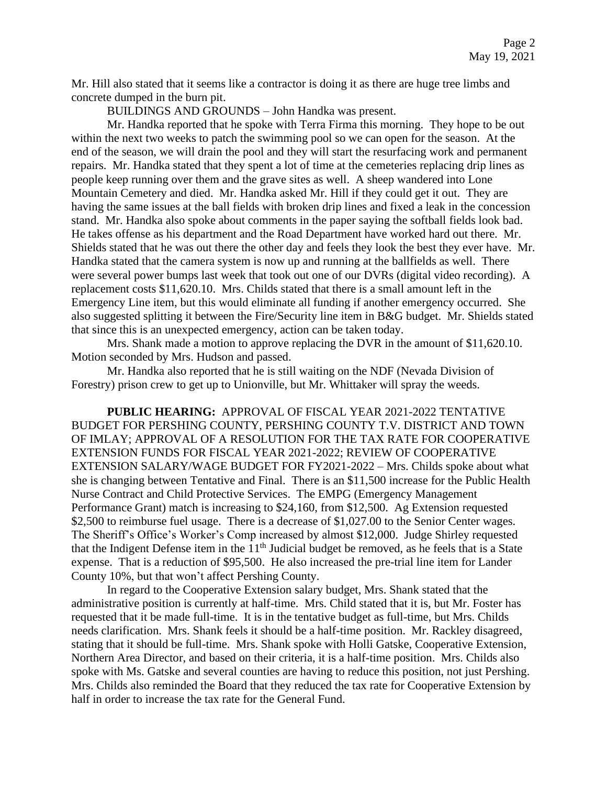Mr. Hill also stated that it seems like a contractor is doing it as there are huge tree limbs and concrete dumped in the burn pit.

BUILDINGS AND GROUNDS – John Handka was present.

Mr. Handka reported that he spoke with Terra Firma this morning. They hope to be out within the next two weeks to patch the swimming pool so we can open for the season. At the end of the season, we will drain the pool and they will start the resurfacing work and permanent repairs. Mr. Handka stated that they spent a lot of time at the cemeteries replacing drip lines as people keep running over them and the grave sites as well. A sheep wandered into Lone Mountain Cemetery and died. Mr. Handka asked Mr. Hill if they could get it out. They are having the same issues at the ball fields with broken drip lines and fixed a leak in the concession stand. Mr. Handka also spoke about comments in the paper saying the softball fields look bad. He takes offense as his department and the Road Department have worked hard out there. Mr. Shields stated that he was out there the other day and feels they look the best they ever have. Mr. Handka stated that the camera system is now up and running at the ballfields as well. There were several power bumps last week that took out one of our DVRs (digital video recording). A replacement costs \$11,620.10. Mrs. Childs stated that there is a small amount left in the Emergency Line item, but this would eliminate all funding if another emergency occurred. She also suggested splitting it between the Fire/Security line item in B&G budget. Mr. Shields stated that since this is an unexpected emergency, action can be taken today.

Mrs. Shank made a motion to approve replacing the DVR in the amount of \$11,620.10. Motion seconded by Mrs. Hudson and passed.

Mr. Handka also reported that he is still waiting on the NDF (Nevada Division of Forestry) prison crew to get up to Unionville, but Mr. Whittaker will spray the weeds.

**PUBLIC HEARING:** APPROVAL OF FISCAL YEAR 2021-2022 TENTATIVE BUDGET FOR PERSHING COUNTY, PERSHING COUNTY T.V. DISTRICT AND TOWN OF IMLAY; APPROVAL OF A RESOLUTION FOR THE TAX RATE FOR COOPERATIVE EXTENSION FUNDS FOR FISCAL YEAR 2021-2022; REVIEW OF COOPERATIVE EXTENSION SALARY/WAGE BUDGET FOR FY2021-2022 – Mrs. Childs spoke about what she is changing between Tentative and Final. There is an \$11,500 increase for the Public Health Nurse Contract and Child Protective Services. The EMPG (Emergency Management Performance Grant) match is increasing to \$24,160, from \$12,500. Ag Extension requested \$2,500 to reimburse fuel usage. There is a decrease of \$1,027.00 to the Senior Center wages. The Sheriff's Office's Worker's Comp increased by almost \$12,000. Judge Shirley requested that the Indigent Defense item in the  $11<sup>th</sup>$  Judicial budget be removed, as he feels that is a State expense. That is a reduction of \$95,500. He also increased the pre-trial line item for Lander County 10%, but that won't affect Pershing County.

In regard to the Cooperative Extension salary budget, Mrs. Shank stated that the administrative position is currently at half-time. Mrs. Child stated that it is, but Mr. Foster has requested that it be made full-time. It is in the tentative budget as full-time, but Mrs. Childs needs clarification. Mrs. Shank feels it should be a half-time position. Mr. Rackley disagreed, stating that it should be full-time. Mrs. Shank spoke with Holli Gatske, Cooperative Extension, Northern Area Director, and based on their criteria, it is a half-time position. Mrs. Childs also spoke with Ms. Gatske and several counties are having to reduce this position, not just Pershing. Mrs. Childs also reminded the Board that they reduced the tax rate for Cooperative Extension by half in order to increase the tax rate for the General Fund.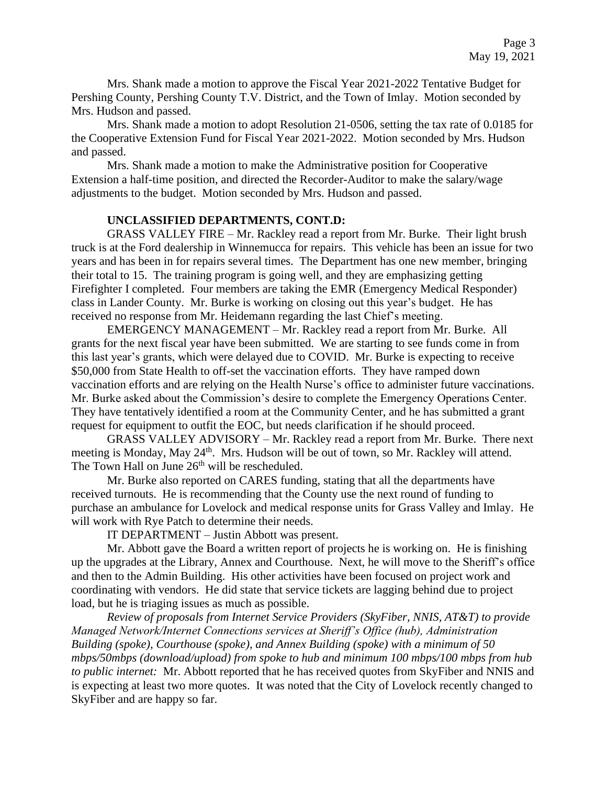Mrs. Shank made a motion to approve the Fiscal Year 2021-2022 Tentative Budget for Pershing County, Pershing County T.V. District, and the Town of Imlay. Motion seconded by Mrs. Hudson and passed.

Mrs. Shank made a motion to adopt Resolution 21-0506, setting the tax rate of 0.0185 for the Cooperative Extension Fund for Fiscal Year 2021-2022. Motion seconded by Mrs. Hudson and passed.

Mrs. Shank made a motion to make the Administrative position for Cooperative Extension a half-time position, and directed the Recorder-Auditor to make the salary/wage adjustments to the budget. Motion seconded by Mrs. Hudson and passed.

### **UNCLASSIFIED DEPARTMENTS, CONT.D:**

GRASS VALLEY FIRE – Mr. Rackley read a report from Mr. Burke. Their light brush truck is at the Ford dealership in Winnemucca for repairs. This vehicle has been an issue for two years and has been in for repairs several times. The Department has one new member, bringing their total to 15. The training program is going well, and they are emphasizing getting Firefighter I completed. Four members are taking the EMR (Emergency Medical Responder) class in Lander County. Mr. Burke is working on closing out this year's budget. He has received no response from Mr. Heidemann regarding the last Chief's meeting.

EMERGENCY MANAGEMENT – Mr. Rackley read a report from Mr. Burke. All grants for the next fiscal year have been submitted. We are starting to see funds come in from this last year's grants, which were delayed due to COVID. Mr. Burke is expecting to receive \$50,000 from State Health to off-set the vaccination efforts. They have ramped down vaccination efforts and are relying on the Health Nurse's office to administer future vaccinations. Mr. Burke asked about the Commission's desire to complete the Emergency Operations Center. They have tentatively identified a room at the Community Center, and he has submitted a grant request for equipment to outfit the EOC, but needs clarification if he should proceed.

GRASS VALLEY ADVISORY – Mr. Rackley read a report from Mr. Burke. There next meeting is Monday, May 24<sup>th</sup>. Mrs. Hudson will be out of town, so Mr. Rackley will attend. The Town Hall on June  $26<sup>th</sup>$  will be rescheduled.

Mr. Burke also reported on CARES funding, stating that all the departments have received turnouts. He is recommending that the County use the next round of funding to purchase an ambulance for Lovelock and medical response units for Grass Valley and Imlay. He will work with Rye Patch to determine their needs.

IT DEPARTMENT – Justin Abbott was present.

Mr. Abbott gave the Board a written report of projects he is working on. He is finishing up the upgrades at the Library, Annex and Courthouse. Next, he will move to the Sheriff's office and then to the Admin Building. His other activities have been focused on project work and coordinating with vendors. He did state that service tickets are lagging behind due to project load, but he is triaging issues as much as possible.

*Review of proposals from Internet Service Providers (SkyFiber, NNIS, AT&T) to provide Managed Network/Internet Connections services at Sheriff's Office (hub), Administration Building (spoke), Courthouse (spoke), and Annex Building (spoke) with a minimum of 50 mbps/50mbps (download/upload) from spoke to hub and minimum 100 mbps/100 mbps from hub to public internet:* Mr. Abbott reported that he has received quotes from SkyFiber and NNIS and is expecting at least two more quotes. It was noted that the City of Lovelock recently changed to SkyFiber and are happy so far.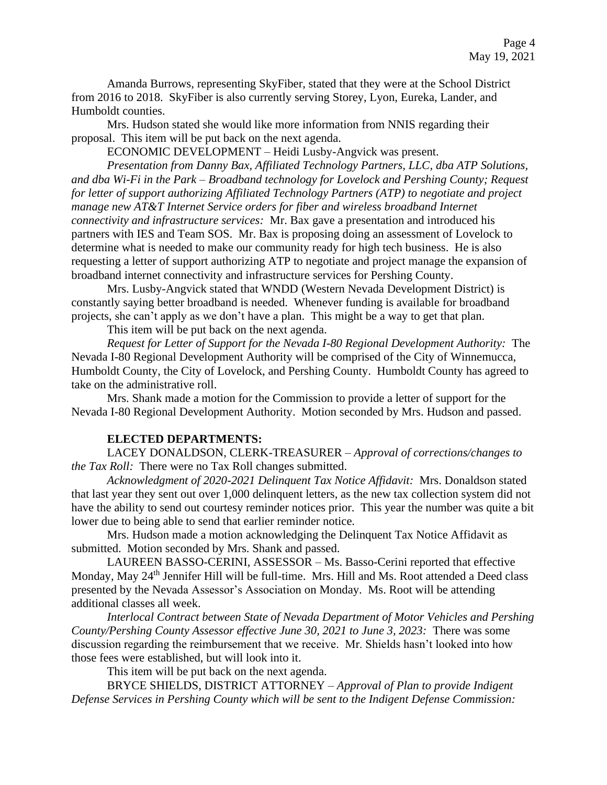Amanda Burrows, representing SkyFiber, stated that they were at the School District from 2016 to 2018. SkyFiber is also currently serving Storey, Lyon, Eureka, Lander, and Humboldt counties.

Mrs. Hudson stated she would like more information from NNIS regarding their proposal. This item will be put back on the next agenda.

ECONOMIC DEVELOPMENT – Heidi Lusby-Angvick was present.

*Presentation from Danny Bax, Affiliated Technology Partners, LLC, dba ATP Solutions, and dba Wi-Fi in the Park – Broadband technology for Lovelock and Pershing County; Request for letter of support authorizing Affiliated Technology Partners (ATP) to negotiate and project manage new AT&T Internet Service orders for fiber and wireless broadband Internet connectivity and infrastructure services:* Mr. Bax gave a presentation and introduced his partners with IES and Team SOS. Mr. Bax is proposing doing an assessment of Lovelock to determine what is needed to make our community ready for high tech business. He is also requesting a letter of support authorizing ATP to negotiate and project manage the expansion of broadband internet connectivity and infrastructure services for Pershing County.

Mrs. Lusby-Angvick stated that WNDD (Western Nevada Development District) is constantly saying better broadband is needed. Whenever funding is available for broadband projects, she can't apply as we don't have a plan. This might be a way to get that plan.

This item will be put back on the next agenda.

*Request for Letter of Support for the Nevada I-80 Regional Development Authority:* The Nevada I-80 Regional Development Authority will be comprised of the City of Winnemucca, Humboldt County, the City of Lovelock, and Pershing County. Humboldt County has agreed to take on the administrative roll.

Mrs. Shank made a motion for the Commission to provide a letter of support for the Nevada I-80 Regional Development Authority. Motion seconded by Mrs. Hudson and passed.

## **ELECTED DEPARTMENTS:**

LACEY DONALDSON, CLERK-TREASURER – *Approval of corrections/changes to the Tax Roll:* There were no Tax Roll changes submitted.

*Acknowledgment of 2020-2021 Delinquent Tax Notice Affidavit:* Mrs. Donaldson stated that last year they sent out over 1,000 delinquent letters, as the new tax collection system did not have the ability to send out courtesy reminder notices prior. This year the number was quite a bit lower due to being able to send that earlier reminder notice.

Mrs. Hudson made a motion acknowledging the Delinquent Tax Notice Affidavit as submitted. Motion seconded by Mrs. Shank and passed.

LAUREEN BASSO-CERINI, ASSESSOR – Ms. Basso-Cerini reported that effective Monday, May 24<sup>th</sup> Jennifer Hill will be full-time. Mrs. Hill and Ms. Root attended a Deed class presented by the Nevada Assessor's Association on Monday. Ms. Root will be attending additional classes all week.

*Interlocal Contract between State of Nevada Department of Motor Vehicles and Pershing County/Pershing County Assessor effective June 30, 2021 to June 3, 2023:* There was some discussion regarding the reimbursement that we receive. Mr. Shields hasn't looked into how those fees were established, but will look into it.

This item will be put back on the next agenda.

BRYCE SHIELDS, DISTRICT ATTORNEY – *Approval of Plan to provide Indigent Defense Services in Pershing County which will be sent to the Indigent Defense Commission:*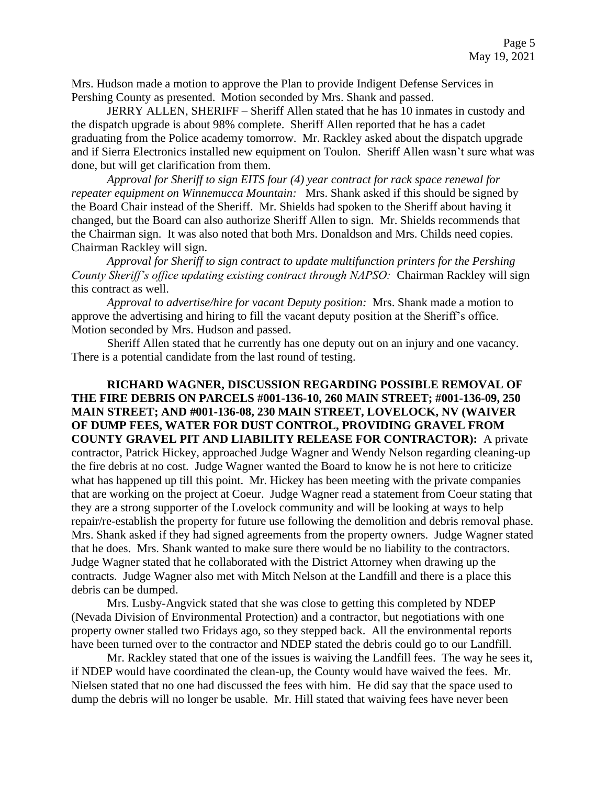Mrs. Hudson made a motion to approve the Plan to provide Indigent Defense Services in Pershing County as presented. Motion seconded by Mrs. Shank and passed.

JERRY ALLEN, SHERIFF – Sheriff Allen stated that he has 10 inmates in custody and the dispatch upgrade is about 98% complete. Sheriff Allen reported that he has a cadet graduating from the Police academy tomorrow. Mr. Rackley asked about the dispatch upgrade and if Sierra Electronics installed new equipment on Toulon. Sheriff Allen wasn't sure what was done, but will get clarification from them.

*Approval for Sheriff to sign EITS four (4) year contract for rack space renewal for repeater equipment on Winnemucca Mountain:* Mrs. Shank asked if this should be signed by the Board Chair instead of the Sheriff. Mr. Shields had spoken to the Sheriff about having it changed, but the Board can also authorize Sheriff Allen to sign. Mr. Shields recommends that the Chairman sign. It was also noted that both Mrs. Donaldson and Mrs. Childs need copies. Chairman Rackley will sign.

*Approval for Sheriff to sign contract to update multifunction printers for the Pershing County Sheriff's office updating existing contract through NAPSO:* Chairman Rackley will sign this contract as well.

*Approval to advertise/hire for vacant Deputy position:* Mrs. Shank made a motion to approve the advertising and hiring to fill the vacant deputy position at the Sheriff's office. Motion seconded by Mrs. Hudson and passed.

Sheriff Allen stated that he currently has one deputy out on an injury and one vacancy. There is a potential candidate from the last round of testing.

**RICHARD WAGNER, DISCUSSION REGARDING POSSIBLE REMOVAL OF THE FIRE DEBRIS ON PARCELS #001-136-10, 260 MAIN STREET; #001-136-09, 250 MAIN STREET; AND #001-136-08, 230 MAIN STREET, LOVELOCK, NV (WAIVER OF DUMP FEES, WATER FOR DUST CONTROL, PROVIDING GRAVEL FROM COUNTY GRAVEL PIT AND LIABILITY RELEASE FOR CONTRACTOR):** A private contractor, Patrick Hickey, approached Judge Wagner and Wendy Nelson regarding cleaning-up the fire debris at no cost. Judge Wagner wanted the Board to know he is not here to criticize what has happened up till this point. Mr. Hickey has been meeting with the private companies that are working on the project at Coeur. Judge Wagner read a statement from Coeur stating that they are a strong supporter of the Lovelock community and will be looking at ways to help repair/re-establish the property for future use following the demolition and debris removal phase. Mrs. Shank asked if they had signed agreements from the property owners. Judge Wagner stated that he does. Mrs. Shank wanted to make sure there would be no liability to the contractors. Judge Wagner stated that he collaborated with the District Attorney when drawing up the contracts. Judge Wagner also met with Mitch Nelson at the Landfill and there is a place this debris can be dumped.

Mrs. Lusby-Angvick stated that she was close to getting this completed by NDEP (Nevada Division of Environmental Protection) and a contractor, but negotiations with one property owner stalled two Fridays ago, so they stepped back. All the environmental reports have been turned over to the contractor and NDEP stated the debris could go to our Landfill.

Mr. Rackley stated that one of the issues is waiving the Landfill fees. The way he sees it, if NDEP would have coordinated the clean-up, the County would have waived the fees. Mr. Nielsen stated that no one had discussed the fees with him. He did say that the space used to dump the debris will no longer be usable. Mr. Hill stated that waiving fees have never been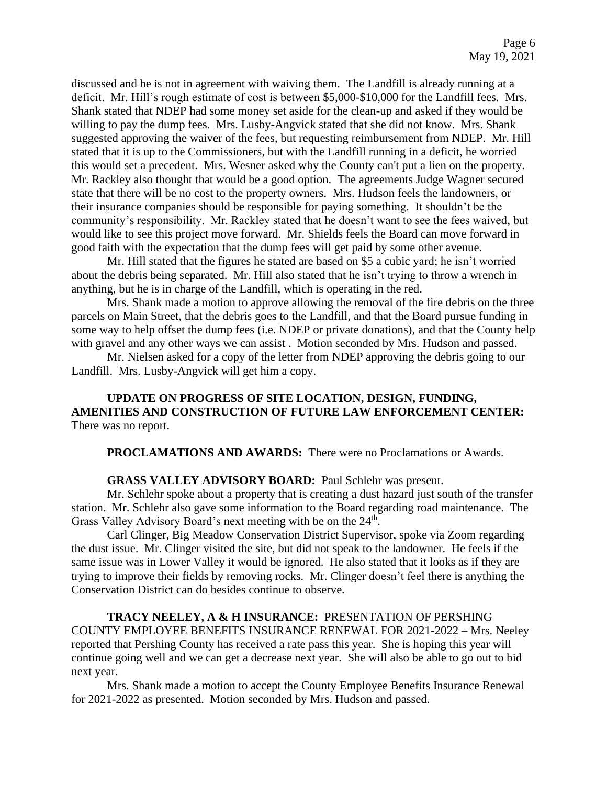discussed and he is not in agreement with waiving them. The Landfill is already running at a deficit. Mr. Hill's rough estimate of cost is between \$5,000-\$10,000 for the Landfill fees. Mrs. Shank stated that NDEP had some money set aside for the clean-up and asked if they would be willing to pay the dump fees. Mrs. Lusby-Angvick stated that she did not know. Mrs. Shank suggested approving the waiver of the fees, but requesting reimbursement from NDEP. Mr. Hill stated that it is up to the Commissioners, but with the Landfill running in a deficit, he worried this would set a precedent. Mrs. Wesner asked why the County can't put a lien on the property. Mr. Rackley also thought that would be a good option. The agreements Judge Wagner secured state that there will be no cost to the property owners. Mrs. Hudson feels the landowners, or their insurance companies should be responsible for paying something. It shouldn't be the community's responsibility. Mr. Rackley stated that he doesn't want to see the fees waived, but would like to see this project move forward. Mr. Shields feels the Board can move forward in good faith with the expectation that the dump fees will get paid by some other avenue.

Mr. Hill stated that the figures he stated are based on \$5 a cubic yard; he isn't worried about the debris being separated. Mr. Hill also stated that he isn't trying to throw a wrench in anything, but he is in charge of the Landfill, which is operating in the red.

Mrs. Shank made a motion to approve allowing the removal of the fire debris on the three parcels on Main Street, that the debris goes to the Landfill, and that the Board pursue funding in some way to help offset the dump fees (i.e. NDEP or private donations), and that the County help with gravel and any other ways we can assist . Motion seconded by Mrs. Hudson and passed.

Mr. Nielsen asked for a copy of the letter from NDEP approving the debris going to our Landfill. Mrs. Lusby-Angvick will get him a copy.

# **UPDATE ON PROGRESS OF SITE LOCATION, DESIGN, FUNDING, AMENITIES AND CONSTRUCTION OF FUTURE LAW ENFORCEMENT CENTER:**  There was no report.

**PROCLAMATIONS AND AWARDS:** There were no Proclamations or Awards.

## **GRASS VALLEY ADVISORY BOARD:** Paul Schlehr was present.

Mr. Schlehr spoke about a property that is creating a dust hazard just south of the transfer station. Mr. Schlehr also gave some information to the Board regarding road maintenance. The Grass Valley Advisory Board's next meeting with be on the 24<sup>th</sup>.

Carl Clinger, Big Meadow Conservation District Supervisor, spoke via Zoom regarding the dust issue. Mr. Clinger visited the site, but did not speak to the landowner. He feels if the same issue was in Lower Valley it would be ignored. He also stated that it looks as if they are trying to improve their fields by removing rocks. Mr. Clinger doesn't feel there is anything the Conservation District can do besides continue to observe.

**TRACY NEELEY, A & H INSURANCE:** PRESENTATION OF PERSHING COUNTY EMPLOYEE BENEFITS INSURANCE RENEWAL FOR 2021-2022 – Mrs. Neeley reported that Pershing County has received a rate pass this year. She is hoping this year will continue going well and we can get a decrease next year. She will also be able to go out to bid next year.

Mrs. Shank made a motion to accept the County Employee Benefits Insurance Renewal for 2021-2022 as presented. Motion seconded by Mrs. Hudson and passed.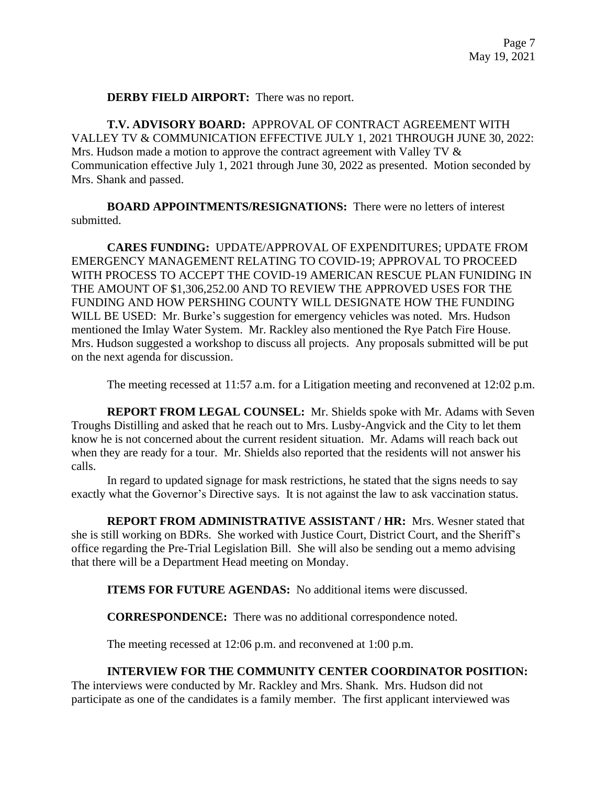**DERBY FIELD AIRPORT:** There was no report.

**T.V. ADVISORY BOARD:** APPROVAL OF CONTRACT AGREEMENT WITH VALLEY TV & COMMUNICATION EFFECTIVE JULY 1, 2021 THROUGH JUNE 30, 2022: Mrs. Hudson made a motion to approve the contract agreement with Valley TV & Communication effective July 1, 2021 through June 30, 2022 as presented. Motion seconded by Mrs. Shank and passed.

**BOARD APPOINTMENTS/RESIGNATIONS:** There were no letters of interest submitted.

**CARES FUNDING:** UPDATE/APPROVAL OF EXPENDITURES; UPDATE FROM EMERGENCY MANAGEMENT RELATING TO COVID-19; APPROVAL TO PROCEED WITH PROCESS TO ACCEPT THE COVID-19 AMERICAN RESCUE PLAN FUNIDING IN THE AMOUNT OF \$1,306,252.00 AND TO REVIEW THE APPROVED USES FOR THE FUNDING AND HOW PERSHING COUNTY WILL DESIGNATE HOW THE FUNDING WILL BE USED: Mr. Burke's suggestion for emergency vehicles was noted. Mrs. Hudson mentioned the Imlay Water System. Mr. Rackley also mentioned the Rye Patch Fire House. Mrs. Hudson suggested a workshop to discuss all projects. Any proposals submitted will be put on the next agenda for discussion.

The meeting recessed at 11:57 a.m. for a Litigation meeting and reconvened at 12:02 p.m.

**REPORT FROM LEGAL COUNSEL:** Mr. Shields spoke with Mr. Adams with Seven Troughs Distilling and asked that he reach out to Mrs. Lusby-Angvick and the City to let them know he is not concerned about the current resident situation. Mr. Adams will reach back out when they are ready for a tour. Mr. Shields also reported that the residents will not answer his calls.

In regard to updated signage for mask restrictions, he stated that the signs needs to say exactly what the Governor's Directive says. It is not against the law to ask vaccination status.

**REPORT FROM ADMINISTRATIVE ASSISTANT / HR:** Mrs. Wesner stated that she is still working on BDRs. She worked with Justice Court, District Court, and the Sheriff's office regarding the Pre-Trial Legislation Bill. She will also be sending out a memo advising that there will be a Department Head meeting on Monday.

**ITEMS FOR FUTURE AGENDAS:** No additional items were discussed.

**CORRESPONDENCE:** There was no additional correspondence noted.

The meeting recessed at 12:06 p.m. and reconvened at 1:00 p.m.

## **INTERVIEW FOR THE COMMUNITY CENTER COORDINATOR POSITION:**

The interviews were conducted by Mr. Rackley and Mrs. Shank. Mrs. Hudson did not participate as one of the candidates is a family member. The first applicant interviewed was